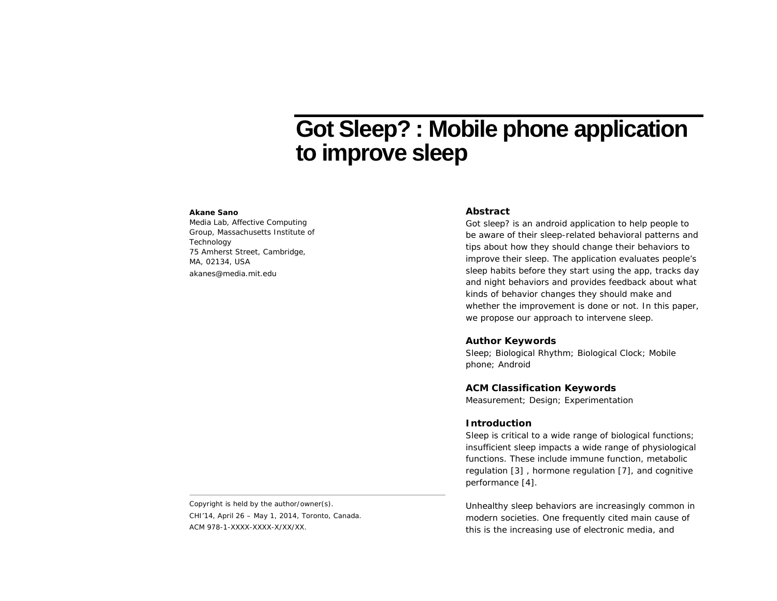# **Got Sleep? : Mobile phone application to improve sleep**

#### **Akane Sano**

Media Lab, Affective Computing Group, Massachusetts Institute of **Technology** 75 Amherst Street, Cambridge, MA, 02134, USA akanes@media.mit.edu

## **Abstract**

Got sleep? is an android application to help people to be aware of their sleep-related behavioral patterns and tips about how they should change their behaviors to improve their sleep. The application evaluates people's sleep habits before they start using the app, tracks day and night behaviors and provides feedback about what kinds of behavior changes they should make and whether the improvement is done or not. In this paper, we propose our approach to intervene sleep.

### **Author Keywords**

Sleep; Biological Rhythm; Biological Clock; Mobile phone; Android

## **ACM Classification Keywords**

Measurement; Design; Experimentation

## **Introduction**

Sleep is critical to a wide range of biological functions; insufficient sleep impacts a wide range of physiological functions. These include immune function, metabolic regulation [3] , hormone regulation [7], and cognitive performance [4].

Unhealthy sleep behaviors are increasingly common in modern societies. One frequently cited main cause of this is the increasing use of electronic media, and

Copyright is held by the author/owner(s). *CHI'14*, April 26 – May 1, 2014, Toronto, Canada. ACM 978-1-XXXX-XXXX-X/XX/XX.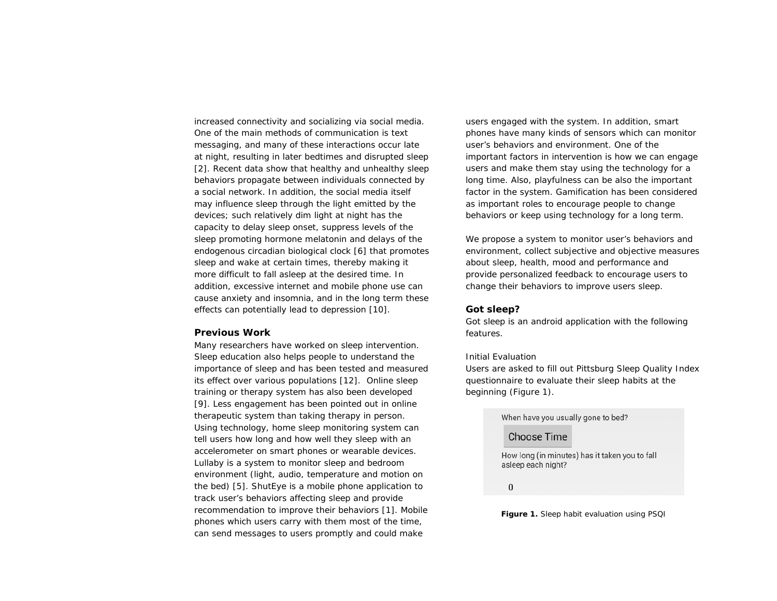increased connectivity and socializing via social media. One of the main methods of communication is text messaging, and many of these interactions occur late at night, resulting in later bedtimes and disrupted sleep [2]. Recent data show that healthy and unhealthy sleep behaviors propagate between individuals connected by a social network. In addition, the social media itself may influence sleep through the light emitted by the devices; such relatively dim light at night has the capacity to delay sleep onset, suppress levels of the sleep promoting hormone melatonin and delays of the endogenous circadian biological clock [6] that promotes sleep and wake at certain times, thereby making it more difficult to fall asleep at the desired time. In addition, excessive internet and mobile phone use can cause anxiety and insomnia, and in the long term these effects can potentially lead to depression [10].

#### **Previous Work**

Many researchers have worked on sleep intervention. Sleep education also helps people to understand the importance of sleep and has been tested and measured its effect over various populations [12]. Online sleep training or therapy system has also been developed [9]. Less engagement has been pointed out in online therapeutic system than taking therapy in person. Using technology, home sleep monitoring system can tell users how long and how well they sleep with an accelerometer on smart phones or wearable devices. Lullaby is a system to monitor sleep and bedroom environment (light, audio, temperature and motion on the bed) [5]. ShutEye is a mobile phone application to track user's behaviors affecting sleep and provide recommendation to improve their behaviors [1]. Mobile phones which users carry with them most of the time, can send messages to users promptly and could make

users engaged with the system. In addition, smart phones have many kinds of sensors which can monitor user's behaviors and environment. One of the important factors in intervention is how we can engage users and make them stay using the technology for a long time. Also, playfulness can be also the important factor in the system. Gamification has been considered as important roles to encourage people to change behaviors or keep using technology for a long term.

We propose a system to monitor user's behaviors and environment, collect subjective and objective measures about sleep, health, mood and performance and provide personalized feedback to encourage users to change their behaviors to improve users sleep.

#### **Got sleep?**

Got sleep is an android application with the following features.

#### *Initial Evaluation*

Users are asked to fill out Pittsburg Sleep Quality Index questionnaire to evaluate their sleep habits at the beginning (Figure 1).

When have you usually gone to bed?

## **Choose Time**

How long (in minutes) has it taken you to fall asleep each night?

 $\pmb{0}$ 

**Figure 1.** Sleep habit evaluation using PSQI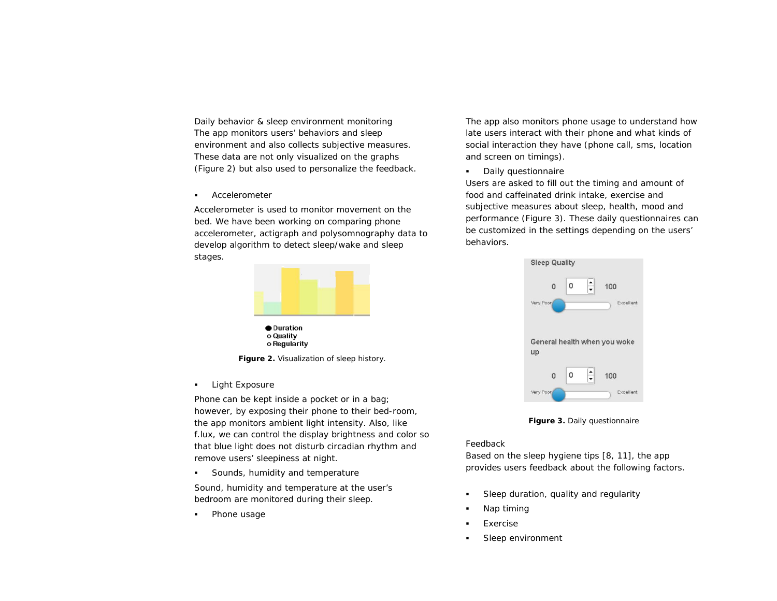*Daily behavior & sleep environment monitoring* The app monitors users' behaviors and sleep environment and also collects subjective measures. These data are not only visualized on the graphs (Figure 2) but also used to personalize the feedback.

Accelerometer

Accelerometer is used to monitor movement on the bed. We have been working on comparing phone accelerometer, actigraph and polysomnography data to develop algorithm to detect sleep/wake and sleep stages.



o Regularity

**Figure 2.** Visualization of sleep history.

**-** Light Exposure

Phone can be kept inside a pocket or in a bag; however, by exposing their phone to their bed-room, the app monitors ambient light intensity. Also, like f.lux, we can control the display brightness and color so that blue light does not disturb circadian rhythm and remove users' sleepiness at night.

Sounds, humidity and temperature

Sound, humidity and temperature at the user's bedroom are monitored during their sleep.

Phone usage

The app also monitors phone usage to understand how late users interact with their phone and what kinds of social interaction they have (phone call, sms, location and screen on timings).

**•** Daily questionnaire

Users are asked to fill out the timing and amount of food and caffeinated drink intake, exercise and subjective measures about sleep, health, mood and performance (Figure 3). These daily questionnaires can be customized in the settings depending on the users' behaviors.



**Figure 3.** Daily questionnaire

# *Feedback*

Based on the sleep hygiene tips [8, 11], the app provides users feedback about the following factors.

- Sleep duration, quality and regularity
- Nap timing
- Exercise
- Sleep environment